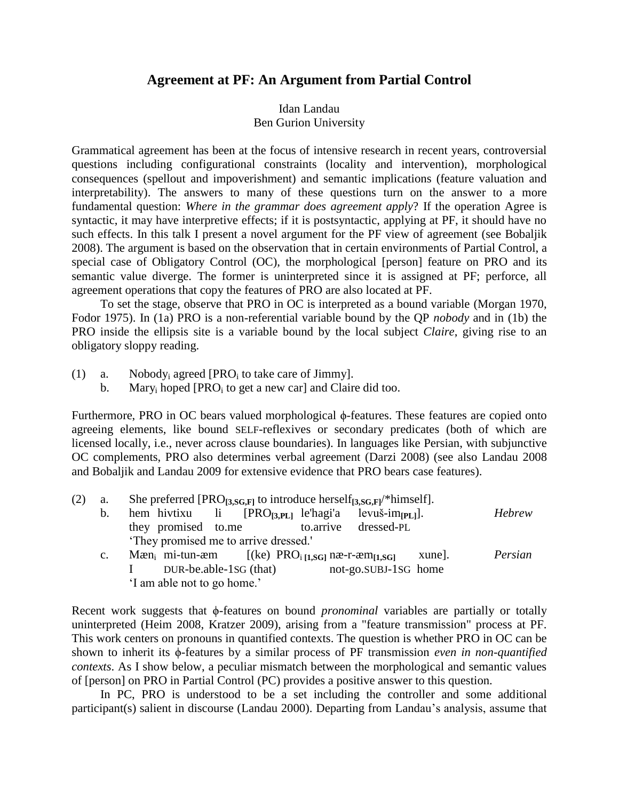## **Agreement at PF: An Argument from Partial Control**

## Idan Landau Ben Gurion University

Grammatical agreement has been at the focus of intensive research in recent years, controversial questions including configurational constraints (locality and intervention), morphological consequences (spellout and impoverishment) and semantic implications (feature valuation and interpretability). The answers to many of these questions turn on the answer to a more fundamental question: *Where in the grammar does agreement apply*? If the operation Agree is syntactic, it may have interpretive effects; if it is postsyntactic, applying at PF, it should have no such effects. In this talk I present a novel argument for the PF view of agreement (see [Bobaljik](#page-2-0)  2008). The argument is based on the observation that in certain environments of Partial Control, a special case of Obligatory Control (OC), the morphological [person] feature on PRO and its semantic value diverge. The former is uninterpreted since it is assigned at PF; perforce, all agreement operations that copy the features of PRO are also located at PF.

To set the stage, observe that PRO in OC is interpreted as a bound variable [\(Morgan 1970,](#page-2-1) [Fodor 1975\)](#page-2-2). In (1a) PRO is a non-referential variable bound by the QP *nobody* and in (1b) the PRO inside the ellipsis site is a variable bound by the local subject *Claire*, giving rise to an obligatory sloppy reading.

- (1) a. Nobody<sub>i</sub> agreed [PRO<sub>i</sub> to take care of Jimmy].
	- b. Mary<sub>i</sub> hoped [PRO<sub>i</sub> to get a new car] and Claire did too.

Furthermore, PRO in OC bears valued morphological ϕ-features. These features are copied onto agreeing elements, like bound SELF-reflexives or secondary predicates (both of which are licensed locally, i.e., never across clause boundaries). In languages like Persian, with subjunctive OC complements, PRO also determines verbal agreement [\(Darzi 2008\)](#page-2-3) (see also [Landau 2008](#page-2-4) and [Bobaljik and Landau 2009](#page-2-5) for extensive evidence that PRO bears case features).

| (2) | а.             | She preferred [PRO <sub>[3,SG,F]</sub> to introduce herself <sub>[3,SG,F]</sub> /*himself].   |         |
|-----|----------------|-----------------------------------------------------------------------------------------------|---------|
|     | b.             | hem hivtixu li $[PRO_{[3,PL]}]$ le'hagi'a levuš-im $[PL]$ .                                   | Hebrew  |
|     |                | they promised to.me<br>to.arrive dressed-PL                                                   |         |
|     |                | They promised me to arrive dressed.                                                           |         |
|     | $\mathbf{c}$ . | Mæn <sub>i</sub> mi-tun-æm $[(ke) PROi[1,SG]$ næ-r-æm <sub><math>[1,SG]</math></sub><br>xune. | Persian |
|     |                | DUR-be.able-1SG (that)<br>not-go.SUBJ-1SG home                                                |         |

'I am able not to go home.'

Recent work suggests that φ-features on bound *pronominal* variables are partially or totally uninterpreted (Heim 2008, Kratzer 2009), arising from a "feature transmission" process at PF. This work centers on pronouns in quantified contexts. The question is whether PRO in OC can be shown to inherit its ϕ-features by a similar process of PF transmission *even in non-quantified contexts*. As I show below, a peculiar mismatch between the morphological and semantic values of [person] on PRO in Partial Control (PC) provides a positive answer to this question.

In PC, PRO is understood to be a set including the controller and some additional participant(s) salient in discourse [\(Landau 2000\)](#page-2-6). Departing from Landau's analysis, assume that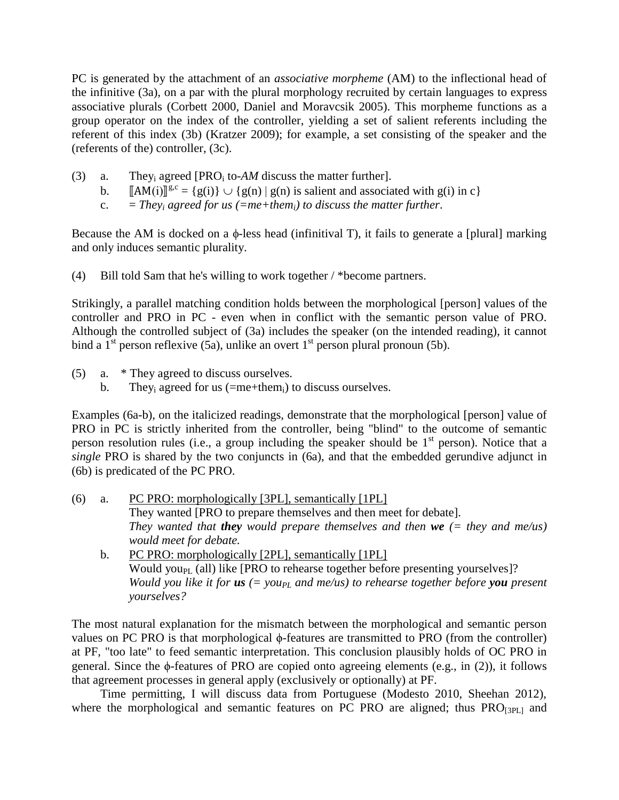PC is generated by the attachment of an *associative morpheme* (AM) to the inflectional head of the infinitive (3a), on a par with the plural morphology recruited by certain languages to express associative plurals [\(Corbett 2000,](#page-2-7) [Daniel and Moravcsik 2005\)](#page-2-8). This morpheme functions as a group operator on the index of the controller, yielding a set of salient referents including the referent of this index (3b) (Kratzer 2009); for example, a set consisting of the speaker and the (referents of the) controller, (3c).

- (3) a. They<sub>i</sub> agreed [PRO<sub>i</sub> to- $AM$  discuss the matter further].
	- b.  $\llbracket AM(i) \rrbracket^{g,c} = \{g(i)\} \cup \{g(n) \mid g(n) \text{ is salient and associated with } g(i) \text{ in } c\}$
	- c.  $=$  *Theyi* agreed for us (=me+them<sub>*i*</sub>) to discuss the matter further.

Because the AM is docked on a  $\phi$ -less head (infinitival T), it fails to generate a [plural] marking and only induces semantic plurality.

(4) Bill told Sam that he's willing to work together / \*become partners.

Strikingly, a parallel matching condition holds between the morphological [person] values of the controller and PRO in PC - even when in conflict with the semantic person value of PRO. Although the controlled subject of (3a) includes the speaker (on the intended reading), it cannot bind a  $1<sup>st</sup>$  person reflexive (5a), unlike an overt  $1<sup>st</sup>$  person plural pronoun (5b).

- (5) a. \* They agreed to discuss ourselves.
	- b. They<sub>i</sub> agreed for us  $(=me+them_i)$  to discuss ourselves.

Examples (6a-b), on the italicized readings, demonstrate that the morphological [person] value of PRO in PC is strictly inherited from the controller, being "blind" to the outcome of semantic person resolution rules (i.e., a group including the speaker should be  $1<sup>st</sup>$  person). Notice that a *single* PRO is shared by the two conjuncts in (6a), and that the embedded gerundive adjunct in (6b) is predicated of the PC PRO.

- (6) a. PC PRO: morphologically [3PL], semantically [1PL] They wanted [PRO to prepare themselves and then meet for debate]. *They wanted that they would prepare themselves and then we (= they and me/us) would meet for debate.*
	- b. PC PRO: morphologically [2PL], semantically [1PL] Would you<sub>PL</sub> (all) like  $[PRO$  to rehearse together before presenting yourselves]? *Would you like it for <i>us* (= you<sub>PL</sub> and me/us) to rehearse together before you present *yourselves?*

The most natural explanation for the mismatch between the morphological and semantic person values on PC PRO is that morphological ϕ-features are transmitted to PRO (from the controller) at PF, "too late" to feed semantic interpretation. This conclusion plausibly holds of OC PRO in general. Since the  $\phi$ -features of PRO are copied onto agreeing elements (e.g., in (2)), it follows that agreement processes in general apply (exclusively or optionally) at PF.

Time permitting, I will discuss data from Portuguese (Modesto 2010, Sheehan 2012), where the morphological and semantic features on PC PRO are aligned; thus  $PRO_{[3P1]}$  and